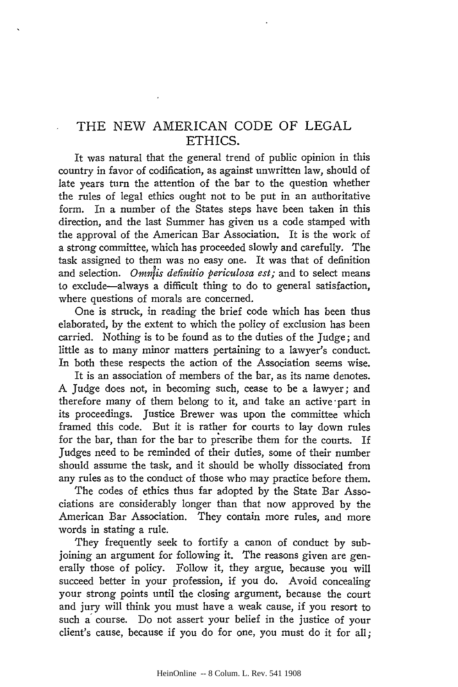## THE NEW AMERICAN CODE OF LEGAL ETHICS.

It was natural that the general trend of public opinion in this country in favor of codification, as against unwritten law, should of late years turn the attention of the bar to the question whether the rules of legal ethics ought not to be put in an authoritative form. In a number of the States steps have been taken in this direction, and the last Summer has given us a code stamped with the approval of the American Bar Association. It is the work of a strong committee, which has proceeded slowly and carefully. The task assigned to them was no easy one. It was that of definition and selection. *Omnus definitio periculosa est;* and to select means to exclude-always a difficult thing to do to general satisfaction, where questions of morals are concerned.

One is struck, in reading the brief code which has been thus elaborated, by the extent to which the policy of exclusion has been carried. Nothing is to be found as to the duties of the Judge; and little as to many minor matters pertaining to a lawyer's conduct. In both these respects the action of the Association seems wise.

It is an association of members of the bar, as its name denotes. A Judge does not, in becoming such, cease to be a lawyer; and therefore many of them belong to it, and take an active-part in its proceedings. Justice Brewer was upon the committee which framed this code. But it is rather for courts to lay down rules for the bar, than for the bar to prescribe them for the courts. If Judges need to be reminded of their duties, some of their number should assume the task, and it should be wholly dissociated from any rules as to the conduct of those who may practice before them.

The codes of ethics thus far adopted by the State Bar Associations are considerably longer than that now approved by the American Bar Association. They contain more rules, and more words in stating a rule.

They frequently seek to fortify a canon of conduct by subjoining an argument for following it. The reasons given are generally those of policy. Follow it, they argue, because you will succeed better in your profession, if you do. Avoid concealing your strong points until the closing argument, because the court and jury will think you must have a weak cause, if you resort to such a course. Do not assert your belief in the justice of your client's cause, because if you do for one, you must do it for all;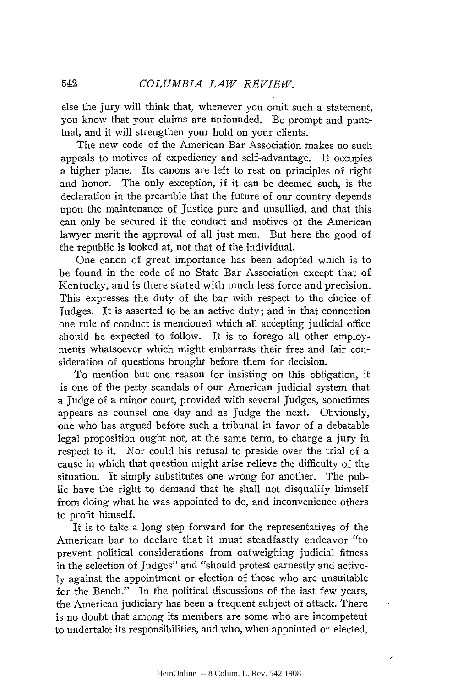else the jury will think that, whenever you omit such a statement, you know that your claims are unfounded. Be prompt and punctual, and it will strengthen your hold on your clients.

The new code of the American Bar Association makes no such appeals to motives of expediency and self-advantage. It occupies a higher plane. Its canons are left to rest on principles of right and honor. The only exception, if it can be deemed such, is the declaration in the preamble that the future of our country depends upon the maintenance of Justice pure and unsullied, and that this can only be secured if the conduct and motives of the American lawyer merit the approval of all just men. But here the good of the republic is looked at, not that of the individual.

One canon of great importance has been adopted which is to be found in the code of no State Bar Association except that of Kentucky, and is there stated with much less force and precision. This expresses the duty of the bar with respect to the choice of Judges. It is asserted to be an active duty; and in that connection one rule of conduct is mentioned which all accepting judicial office should be expected to follow. It is to forego all other employments whatsoever which might embarrass their free and fair consideration of questions brought before them for decision.

To mention but one reason for insisting on this obligation, it is one of the petty scandals of our American judicial system that a Judge of a minor court, provided with several Judges, sometimes appears as counsel one day and as Judge the next. Obviously, one who has argued before such a tribunal in favor of a debatable legal proposition ought not, at the same term, to charge a jury in respect to it. Nor could his refusal to preside over the trial of a cause in which that question might arise relieve the difficulty of the situation. It simply substitutes one wrong for another. The public have the right to demand that he shall not disqualify himself from doing what he was appointed to do, and inconvenience others to profit himself.

It is to take a long step forward for the representatives of the American bar to declare that it must steadfastly endeavor "to prevent political considerations from outweighing judicial fitness in the selection of Judges" and "should protest earnestly and actively against the appointment or election of those who are unsuitable for the Bench." In the political discussions of the last few years, the American judiciary has been a frequent subject of attack. There is no doubt that among its members are some who are incompetent to undertake its responsibilities, and who, when appointed or elected,

542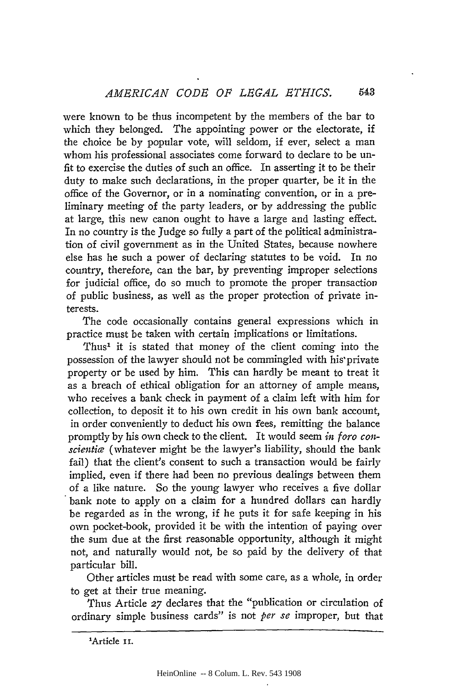were known to be thus incompetent by the members of the bar to which they belonged. The appointing power or the electorate, if the choice be by popular vote, will seldom, if ever, select a man whom his professional associates come forward to declare to be unfit to exercise the duties of such an office. In asserting it to be their duty to make such declarations, in the proper quarter, be it in the office of the Governor, or in a nominating convention, or in a preliminary meeting of the party leaders, or by addressing the public at large, this new canon ought to have a large and lasting effect. In no country is the Judge so fully a part of the political administration of civil government as in the United States, because nowhere else has he such a power of declaring statutes to be void. In no country, therefore, can the bar, by preventing improper selections for judicial office, do so much to promote the proper transaction of public business, as well as the proper protection of private interests.

The code occasionally contains general expressions which in practice must be taken with certain implications or limitations.

Thus<sup>1</sup> it is stated that money of the client coming into the possession of the lawyer should not be commingled with his'private property or be used by him. This can hardly be meant to treat it as a breach of ethical obligation for an attorney of ample means, who receives a bank check in payment of a claim left with him for collection, to deposit it to his own credit in his own bank account, in order conveniently to deduct his own fees, remitting the balance promptly by his own check to the client. It would seem in *foro conscienftie* (whatever might be the lawyer's liability, should the bank fail) that the client's consent to such a transaction would be fairly implied, even if there had been no previous dealings between them of a like nature. So the young lawyer who receives a five dollar bank note to apply on a claim for a hundred dollars can hardly be regarded as in the wrong, if he puts it for safe keeping in his own pocket-book, provided it be with the intention of paying over the sum due at the first reasonable opportunity, although it might not, and naturally would not, be so paid by the delivery of that particular bill.

Other articles must be read with some care, as a whole, in order to get at their true meaning.

Thus Article *27* declares that the "publication or circulation of ordinary simple business cards" is not *per se* improper, but that

<sup>&#</sup>x27;Article II.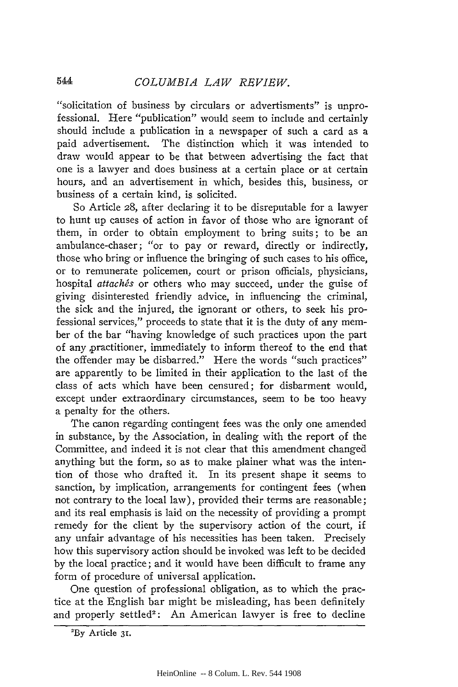"solicitation of business by circulars or advertisments" is unprofessional. Here "publication" would seem to include and certainly should include a publication in a newspaper of such a card as a paid advertisement. The distinction which it was intended to draw would appear to be that between advertising the fact that one is a lawyer and does business at a certain place or at certain hours, and an advertisement in which, besides this, business, or business of a certain kind, is solicited.

So Article **28,** after declaring it to be disreputable for a lawyer to hunt up causes of action in favor of those who are ignorant of them, in order to obtain employment to bring suits; to be an ambulance-chaser; "or to pay or reward, directly or indirectly, those who bring or influence the bringing of such cases to his office, or to remunerate policemen, court or prison officials, physicians, hospital *attachés* or others who may succeed, under the guise of giving disinterested friendly advice, in influencing the criminal, the sick and the injured, the ignorant or others, to seek his professional services," proceeds to state that it is the duty of any member of the bar "having knowledge of such practices upon the part of any .practitioner, immediately to inform thereof to the end that the offender may be disbarred." Here the words "such practices" are apparently to be limited in their application to the last of the class of acts which have been censured; for disbarment would, except under extraordinary circumstances, seem to be too heavy a penalty for the others.

The canon regarding contingent fees was the only one amended in substance, by the Association, in dealing with the report of the Committee, and indeed it is not clear that this amendment changed anything but the form, so as to make plainer what was the intention of those who drafted it. In its present shape it seems to sanction, by implication, arrangements for contingent fees (when not contrary to the local law), provided their terms are reasonable; and its real emphasis is laid on the necessity of providing a prompt remedy for the client by the supervisory action of the court, if any unfair advantage of his necessities has been taken. Precisely how this supervisory action should be invoked was left to be decided by the local practice; and it would have been difficult to frame any form of procedure of universal application.

One question of professional obligation, as to which the practice at the English bar might be misleading, has been definitely and properly settled<sup>2</sup>: An American lawyer is free to decline

544

**<sup>&#</sup>x27;By** Article **31.**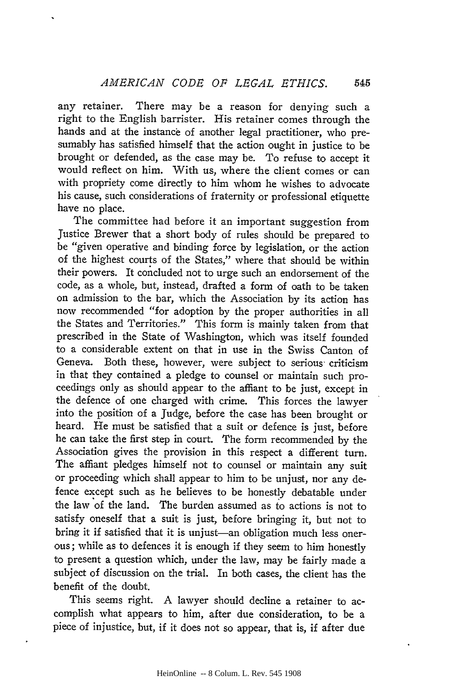any retainer. There may be a reason for denying such a right to the English barrister. His retainer comes through the hands and at the instance of another legal practitioner, who presumably has satisfied himself that the action ought in justice to be brought or defended, as the case may be. To refuse to accept it would reflect on him. With us, where the client comes or can with propriety come directly to him whom he wishes to advocate his cause, such considerations of fraternity or professional etiquette have no place.

The committee had before it an important suggestion from Justice Brewer that a short body of rules should be prepared to be "given operative and binding force by legislation, or the action of the highest courts of the States," where that should be within their powers. It concluded not to urge such an endorsement of the code, as a whole, but, instead, drafted a form of oath to be taken on admission to the bar, which the Association by its action has now recommended "for adoption by the proper authorities in all the States and Territories." This form is mainly taken from that prescribed in the State of Washington, which was itself founded to a considerable extent on that in use in the Swiss Canton of Geneva. Both these, however, were subject to serious criticism in that they contained a pledge to counsel or maintain such proceedings only as should appear to the affiant to be just, except in the defence of one charged with crime. This forces the lawyer into the position of a Judge, before the case has been brought or heard. He must be satisfied that a suit or defence is just, before he can take the first step in court. The form recommended by the Association gives the provision in this respect a different turn. The affiant pledges himself not to counsel or maintain any suit or proceeding which shall appear to him to be unjust, nor any defence except such as he believes to be honestly debatable under the law of the land. The burden assumed as to actions is not to satisfy oneself that a suit is just, before bringing it, but not to bring it if satisfied that it is unjust-an obligation much less onerous; while as to defences it is enough if they seem to him honestly to present a question which, under the law, may be fairly made a subject of discussion on the trial. In both cases, the client has the benefit of the doubt.

This seems right. A lawyer should decline a retainer to accomplish what appears to him, after due consideration, to be a piece of injustice, but, if it does not so appear, that is, if after due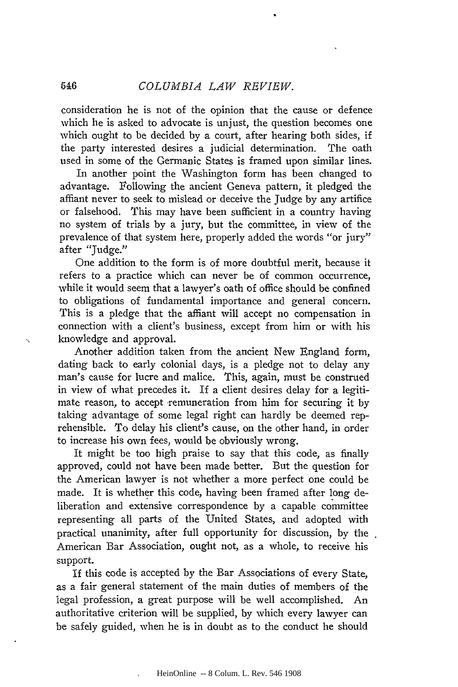consideration he is not of the opinion that the cause or defence which he is asked to advocate is unjust, the question becomes one which ought to be decided by a court, after hearing both sides, if the party interested desires a judicial determination. The oath used in some of the Germanic States is framed upon similar lines.

In another point the Washington form has been changed to advantage. Following the ancient Geneva pattern, it pledged the affiant never to seek to mislead or deceive the Judge by any artifice or falsehood. This may have been sufficient in a country having no system of trials by a jury, but the committee, in view of the prevalence of that system here, properly added the words "or jury" after "Judge."

One addition to the form is of more doubtful merit, because it refers to a practice which can never be of common occurrence, while it would seem that a lawyer's oath of office should be confined to obligations of fundamental importance and general concern. This is a pledge that the affiant will accept no compensation in connection with a client's business, except from him or with his knowledge and approval.

Another addition taken from the ancient New England form, dating back to early colonial days, is a pledge not to delay any man's cause for lucre and malice. This, again, must be construed in view of what precedes it. If a client desires delay for a legitimate reason, to accept remuneration from him for securing it **by** taking advantage of some legal right can hardly be deemed reprehensible. To delay his client's cause, on the other hand, in order to increase his own fees, would be obviously wrong.

It might be too high praise to say that this code, as finally approved, could not have been made better. But the question for the American lawyer is not whether a more perfect one could be made. It is whether this code, having been framed after long deliberation and extensive correspondence by a capable committee representing all parts of the United States, and adopted with practical unanimity, after full opportunity for discussion, **by** the American Bar Association, ought not, as a whole, to receive his support.

If this code is accepted **by** the Bar Associations of every State, as a fair general statement of the main duties of members of the legal profession, a great purpose will be well accomplished. An authoritative criterion will be supplied, **by** which every lawyer can be safely guided, when he is in doubt as to the conduct he should

546